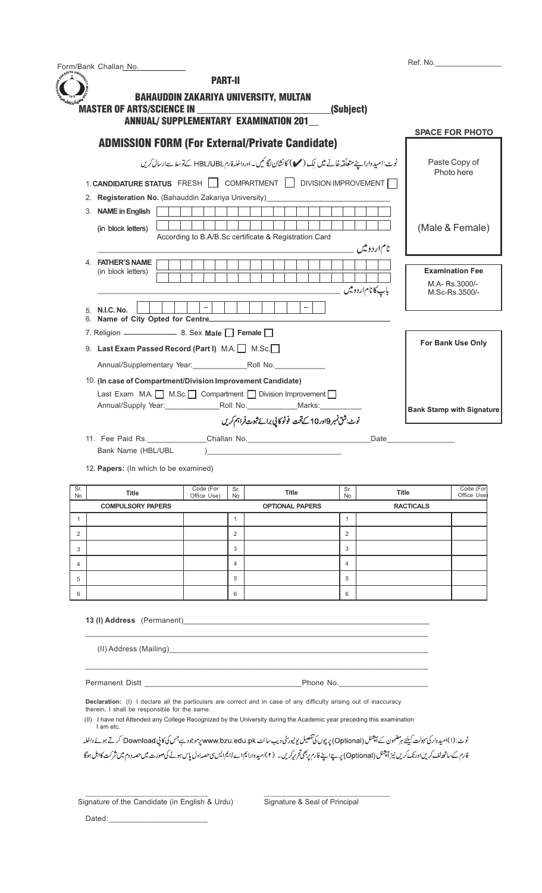| Form/Bank Challan No. |  |
|-----------------------|--|
| $-100A$               |  |

| <b>PART-II</b><br><b>BAHAUDDIN ZAKARIYA UNIVERSITY, MULTAN</b><br><b>MASTER OF ARTS/SCIENCE IN</b><br>(Subject)<br><b>ANNUAL/ SUPPLEMENTARY EXAMINATION 201</b>                                                              |                                                            |
|------------------------------------------------------------------------------------------------------------------------------------------------------------------------------------------------------------------------------|------------------------------------------------------------|
|                                                                                                                                                                                                                              | <b>SPACE FOR PHOTO</b>                                     |
| <b>ADMISSION FORM (For External/Private Candidate)</b><br>نوٹ:امیدواراپنے متعلّقہ خانے میں بِک (مس) کانشان لگا کیں۔ اورداخلہ فارمHBL/UBL کےنوسط سےارسال کریں<br>1. CANDIDATURE STATUS FRESH COMPARTMENT DIVISION IMPROVEMENT | Paste Copy of<br>Photo here                                |
| 2. Registeration No. (Bahauddin Zakariya University)                                                                                                                                                                         |                                                            |
| 3. NAME in English<br>(in block letters)<br>According to B.A/B.Sc certificate & Registration Card<br>نام اردوییں                                                                                                             | (Male & Female)                                            |
| 4. FATHER'S NAME<br>(in block letters)<br>باپ کا نام <i>ار</i> دومیں                                                                                                                                                         | <b>Examination Fee</b><br>M.A- Rs.3000/-<br>M.Sc-Rs.3500/- |
| 5. N.I.C. No.<br>6. Name of City Opted for Centre__________                                                                                                                                                                  |                                                            |
|                                                                                                                                                                                                                              |                                                            |
| 9. Last Exam Passed Record (Part I) M.A. M.Sc.<br>Annual/Supplementary Year: Roll No.                                                                                                                                        | For Bank Use Only                                          |
| 10. (In case of Compartment/Division Improvement Candidate)<br>Last Exam M.A.   M.Sc.   Compartment   Division Improvement  <br>نوٹ بشق نمبر 10در10 کےتحت فوٹو کا پی برائے ثبوت فراہم کریں                                   | <b>Bank Stamp with Signature</b>                           |
| 11. Fee Paid Rs. Challan No. Challen No.<br>Bank Name (HBL/UBL<br>12 <b>Deneral</b> (In which to be examined)                                                                                                                |                                                            |

Ref. No.

| Sr.<br><b>No</b> | <b>Title</b>             | Code (For<br>Office Use) | Sr.<br>No      | <b>Title</b>           | Sr.<br>No      | <b>Title</b>     | Code (For<br>Office Use |
|------------------|--------------------------|--------------------------|----------------|------------------------|----------------|------------------|-------------------------|
|                  | <b>COMPULSORY PAPERS</b> |                          |                | <b>OPTIONAL PAPERS</b> |                | <b>RACTICALS</b> |                         |
|                  |                          |                          |                |                        |                |                  |                         |
| $\overline{2}$   |                          |                          | $\overline{2}$ |                        | $\overline{2}$ |                  |                         |
| 3                |                          |                          | 3              |                        | 3              |                  |                         |
| 4                |                          |                          | 4              |                        | 4              |                  |                         |
| 5                |                          |                          | 5              |                        | 5              |                  |                         |
| 6                |                          |                          | 6              |                        | 6              |                  |                         |

**13 (I) Address** (Permanent)

(II) Address (Mailing)\_

Permanent Distt \_\_\_\_\_\_\_\_\_\_\_\_\_\_\_\_\_\_\_\_\_\_\_\_\_\_\_\_\_\_\_\_\_\_\_\_\_Phone No.\_\_\_\_\_\_\_\_\_\_\_\_\_\_\_\_\_\_\_\_\_

**Declaration:** (I) I declare all the particulars are correct and in case of any difficulty arising out of inaccuracy

\_\_\_\_\_\_\_\_\_\_\_\_\_\_\_\_\_\_\_\_\_\_\_\_\_\_\_\_\_\_\_\_\_ \_\_\_\_\_\_\_\_\_\_\_\_\_\_\_\_\_\_\_\_\_\_\_\_\_\_\_\_\_\_\_\_\_\_

therein, I shall be responsible for the same.

(II) I have not Attended any College Recognized by the University during the Academic year preceding this examination I am etc.

\_\_\_\_\_\_\_\_\_\_\_\_\_\_\_\_\_\_\_\_\_\_\_\_\_\_\_\_\_\_\_\_\_\_\_\_\_\_\_\_\_\_\_\_\_\_\_\_\_\_\_\_\_\_\_\_\_\_\_\_\_\_\_\_\_\_\_\_\_\_\_\_\_\_\_\_\_\_\_

\_\_\_\_\_\_\_\_\_\_\_\_\_\_\_\_\_\_\_\_\_\_\_\_\_\_\_\_\_\_\_\_\_\_\_\_\_\_\_\_\_\_\_\_\_\_\_\_\_\_\_\_\_\_\_\_\_\_\_\_\_\_\_\_\_\_\_\_\_\_\_\_\_\_\_\_\_\_\_

نوٹ: (۱)امیدوار کی سہولت کیلئے ہرمضمون کے آپشنل (Optional) پر چوں کی تفصیل یونیور پٹی دی۔ پر موسوع جس کی کا پی Download کرتے ہوئے داخلہ فارم کےساتھ لف کریںاورنک کریں نیز آپشنل (Optional) پر ہےاپنے فارم پر بھی تریرکریں۔ (۲)امیدوارا یم ایس سی حصداول پاس ہونے کی صورت میں حصد دوم میں شرکت کااہل ہوگا

Signature of the Candidate (in English & Urdu) Signature & Seal of Principal

 $Dated:$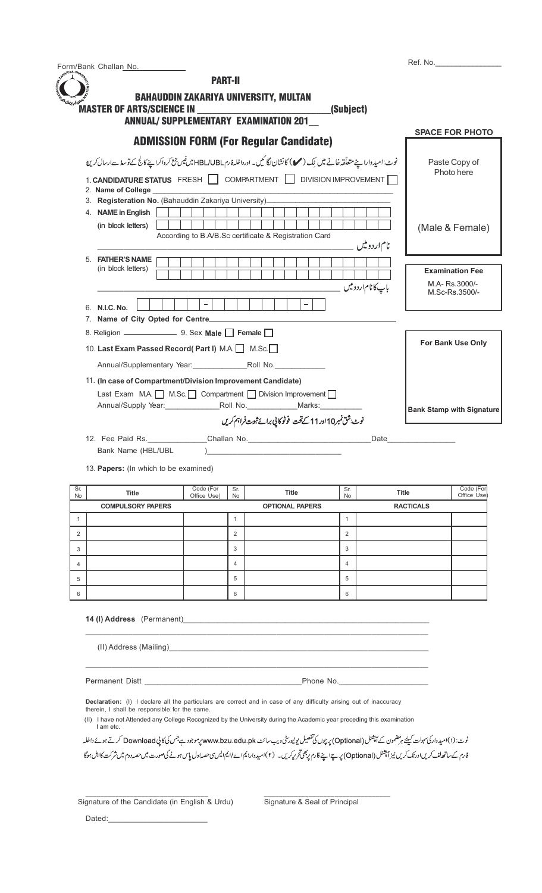|                                                    | Form/Bank Challan No.                                       |                                                                                                                                                                                                                                                                                                                                                                                                                                                                                                                                                           |                                |                                                                                                         |                                |                             |                  |                                                             |
|----------------------------------------------------|-------------------------------------------------------------|-----------------------------------------------------------------------------------------------------------------------------------------------------------------------------------------------------------------------------------------------------------------------------------------------------------------------------------------------------------------------------------------------------------------------------------------------------------------------------------------------------------------------------------------------------------|--------------------------------|---------------------------------------------------------------------------------------------------------|--------------------------------|-----------------------------|------------------|-------------------------------------------------------------|
|                                                    |                                                             | <b>PART-II</b>                                                                                                                                                                                                                                                                                                                                                                                                                                                                                                                                            |                                |                                                                                                         |                                |                             |                  |                                                             |
|                                                    | <b>MASTER OF ARTS/SCIENCE IN</b>                            | <b>BAHAUDDIN ZAKARIYA UNIVERSITY, MULTAN</b>                                                                                                                                                                                                                                                                                                                                                                                                                                                                                                              |                                |                                                                                                         | (Subject)                      |                             |                  |                                                             |
|                                                    |                                                             | <b>ANNUAL/ SUPPLEMENTARY EXAMINATION 201</b>                                                                                                                                                                                                                                                                                                                                                                                                                                                                                                              |                                |                                                                                                         |                                |                             |                  | <b>SPACE FOR PHOTO</b>                                      |
|                                                    |                                                             | <b>ADMISSION FORM (For Regular Candidate)</b>                                                                                                                                                                                                                                                                                                                                                                                                                                                                                                             |                                |                                                                                                         |                                |                             |                  |                                                             |
|                                                    |                                                             | نوٹ:امیدواراپنے متعلّقہ خانے میں لِک (مس) کانشان لگا کمیں۔ اورداخلہ فارمHBL/UBL میں فیس جمع کر داکراپنے کالج کے توسط سے ارسال کریں ا                                                                                                                                                                                                                                                                                                                                                                                                                      |                                |                                                                                                         |                                |                             |                  | Paste Copy of                                               |
|                                                    |                                                             | 1. CANDIDATURE STATUS FRESH COMPARTMENT DIVISION IMPROVEMENT                                                                                                                                                                                                                                                                                                                                                                                                                                                                                              |                                |                                                                                                         |                                |                             |                  | Photo here                                                  |
|                                                    | 2. Name of College                                          | 3. Registeration No. (Bahauddin Zakariya University)____________________________                                                                                                                                                                                                                                                                                                                                                                                                                                                                          |                                |                                                                                                         |                                |                             |                  |                                                             |
|                                                    | 4. NAME in English                                          |                                                                                                                                                                                                                                                                                                                                                                                                                                                                                                                                                           |                                |                                                                                                         |                                |                             |                  |                                                             |
|                                                    | (in block letters)                                          | According to B.A/B.Sc certificate & Registration Card                                                                                                                                                                                                                                                                                                                                                                                                                                                                                                     |                                |                                                                                                         |                                |                             |                  | (Male & Female)                                             |
|                                                    |                                                             |                                                                                                                                                                                                                                                                                                                                                                                                                                                                                                                                                           |                                |                                                                                                         |                                | نام اردوییں                 |                  |                                                             |
|                                                    | 5. FATHER'S NAME<br>(in block letters)                      |                                                                                                                                                                                                                                                                                                                                                                                                                                                                                                                                                           |                                |                                                                                                         |                                |                             |                  | <b>Examination Fee</b>                                      |
|                                                    |                                                             |                                                                                                                                                                                                                                                                                                                                                                                                                                                                                                                                                           |                                |                                                                                                         |                                | با پ کا نام <i>ارد</i> ومیں |                  | M.A- Rs.3000/-                                              |
|                                                    |                                                             | $\equiv$                                                                                                                                                                                                                                                                                                                                                                                                                                                                                                                                                  |                                |                                                                                                         |                                |                             |                  | M.Sc-Rs.3500/-                                              |
|                                                    | 6. N.I.C. No.                                               |                                                                                                                                                                                                                                                                                                                                                                                                                                                                                                                                                           |                                |                                                                                                         |                                |                             |                  |                                                             |
|                                                    |                                                             |                                                                                                                                                                                                                                                                                                                                                                                                                                                                                                                                                           |                                |                                                                                                         |                                |                             |                  |                                                             |
|                                                    |                                                             | 10. Last Exam Passed Record(Part I) M.A. M.Sc.                                                                                                                                                                                                                                                                                                                                                                                                                                                                                                            |                                |                                                                                                         |                                |                             |                  | For Bank Use Only                                           |
|                                                    |                                                             |                                                                                                                                                                                                                                                                                                                                                                                                                                                                                                                                                           |                                |                                                                                                         |                                |                             |                  |                                                             |
|                                                    |                                                             |                                                                                                                                                                                                                                                                                                                                                                                                                                                                                                                                                           |                                | Annual/Supply Year: Roll No. Marks: Marks:<br>نوٹ شق نمبر10اور11 کے تحت فوٹوکا پی برائے ثبوت فراہم کریں |                                |                             |                  |                                                             |
|                                                    | Bank Name (HBL/UBL<br>13. Papers: (In which to be examined) |                                                                                                                                                                                                                                                                                                                                                                                                                                                                                                                                                           |                                |                                                                                                         |                                | Date                        |                  |                                                             |
|                                                    | Title                                                       | Code (For<br>Office Use)                                                                                                                                                                                                                                                                                                                                                                                                                                                                                                                                  | Sr.<br>No                      | <b>Title</b>                                                                                            | Sr.<br>No                      |                             | <b>Title</b>     |                                                             |
|                                                    | <b>COMPULSORY PAPERS</b>                                    |                                                                                                                                                                                                                                                                                                                                                                                                                                                                                                                                                           |                                | <b>OPTIONAL PAPERS</b>                                                                                  |                                |                             | <b>RACTICALS</b> |                                                             |
|                                                    |                                                             |                                                                                                                                                                                                                                                                                                                                                                                                                                                                                                                                                           | $\mathbf{1}$<br>$\overline{2}$ |                                                                                                         | $\mathbf{1}$<br>$\overline{2}$ |                             |                  |                                                             |
|                                                    |                                                             |                                                                                                                                                                                                                                                                                                                                                                                                                                                                                                                                                           | 3                              |                                                                                                         | 3                              |                             |                  |                                                             |
|                                                    |                                                             |                                                                                                                                                                                                                                                                                                                                                                                                                                                                                                                                                           | $\overline{4}$                 |                                                                                                         | 4                              |                             |                  |                                                             |
|                                                    |                                                             |                                                                                                                                                                                                                                                                                                                                                                                                                                                                                                                                                           | 5                              |                                                                                                         | 5                              |                             |                  | <b>Bank Stamp with Signature</b><br>Code (For<br>Office Use |
| Sr.<br>No<br>$\mathbf{1}$<br>2<br>3<br>4<br>5<br>6 |                                                             |                                                                                                                                                                                                                                                                                                                                                                                                                                                                                                                                                           | 6                              |                                                                                                         | 6                              |                             |                  |                                                             |
|                                                    |                                                             |                                                                                                                                                                                                                                                                                                                                                                                                                                                                                                                                                           |                                |                                                                                                         |                                |                             |                  |                                                             |
|                                                    |                                                             |                                                                                                                                                                                                                                                                                                                                                                                                                                                                                                                                                           |                                |                                                                                                         |                                |                             |                  |                                                             |
|                                                    | therein, I shall be responsible for the same.<br>I am etc.  | <b>Declaration:</b> (I) I declare all the particulars are correct and in case of any difficulty arising out of inaccuracy<br>(II) I have not Attended any College Recognized by the University during the Academic year preceding this examination<br>نوٹ: (۱)امیدوارکی سہولت کیلئے ہرمضمون کے آپشنل (Optional) پر چوں کی تفصیل یونیورٹی ویب سائٹ www.bzu.edu.pk کرتے ہوئے داخلہ<br>فارم کے ساتھ لف کریںاورنک کریں نیز آپشنل (Optional) پر ہےاپنے فارم پر بھی تحریرکریں۔ (۲)امیدوارا یا ایم ایس سی حداول پاس ہونے کی صورت میں حصد دوم میں شرکت کااہل ہوگا |                                |                                                                                                         |                                |                             |                  |                                                             |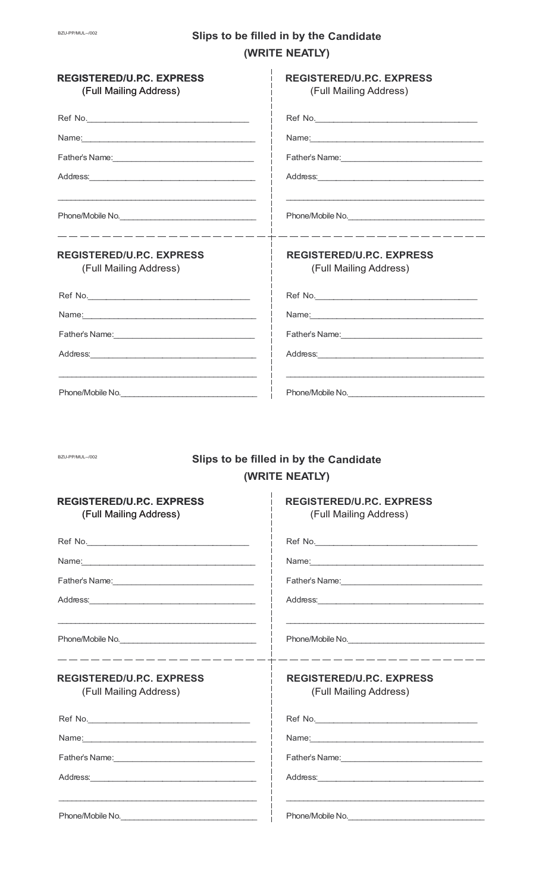## S

| <b>REGISTERED/U.P.C. EXPRESS</b><br>(Full Mailing Address)                                       | <b>REGISTERED/U.P.C. EXPRESS</b><br>(Full Mailing Address)                                                                                                                          |
|--------------------------------------------------------------------------------------------------|-------------------------------------------------------------------------------------------------------------------------------------------------------------------------------------|
|                                                                                                  |                                                                                                                                                                                     |
|                                                                                                  |                                                                                                                                                                                     |
|                                                                                                  |                                                                                                                                                                                     |
|                                                                                                  |                                                                                                                                                                                     |
|                                                                                                  |                                                                                                                                                                                     |
| _ __ __ __ __ __ __ __ __ __ __ __<br><b>REGISTERED/U.P.C. EXPRESS</b><br>(Full Mailing Address) | <u> 1986 - Andrea Andrea Andrea Andrea Andrea Andrea Andrea Andrea Andrea Andrea Andrea Andrea Andrea Andrea Andr</u><br><b>REGISTERED/U.P.C. EXPRESS</b><br>(Full Mailing Address) |
|                                                                                                  |                                                                                                                                                                                     |
|                                                                                                  |                                                                                                                                                                                     |
| Father's Name: 1997                                                                              | Father's Name: 1997                                                                                                                                                                 |
|                                                                                                  |                                                                                                                                                                                     |
|                                                                                                  |                                                                                                                                                                                     |
| BZU-PP/MUL--/002                                                                                 | Slips to be filled in by the Candidate<br>(WRITE NEATLY)                                                                                                                            |
| <b>REGISTERED/U.P.C. EXPRESS</b><br>(Full Mailing Address)                                       | <b>REGISTERED/U.P.C. EXPRESS</b><br>(Full Mailing Address)                                                                                                                          |
|                                                                                                  | Ref No.                                                                                                                                                                             |
|                                                                                                  |                                                                                                                                                                                     |
|                                                                                                  |                                                                                                                                                                                     |
|                                                                                                  |                                                                                                                                                                                     |
| Phone/Mobile No.                                                                                 | Phone/Mobile No.                                                                                                                                                                    |

 $\overline{\phantom{a}}$ 

| <b>REGISTERED/U.P.C. EXPRESS</b> |
|----------------------------------|
| (Full Mailing Address)           |

Ref No.

\_\_\_\_\_\_\_\_\_\_\_\_\_\_\_\_\_

Name: 

Phone/Mobile No.

Address:

|  |                |  | ilips to be filled in by the Candidate |  |
|--|----------------|--|----------------------------------------|--|
|  | (WRITE NEATLY) |  |                                        |  |

| <b>REGISTERED/U.P.C. EXPRESS</b> |  |
|----------------------------------|--|
| (Full Mailing Address)           |  |

\_\_\_\_\_\_\_\_\_\_\_\_\_\_\_\_

| Ref No.                                                  |
|----------------------------------------------------------|
|                                                          |
| Father's Name: <u>__________________________________</u> |
| Address: 2008                                            |
|                                                          |
| Phone/Mobile No.                                         |